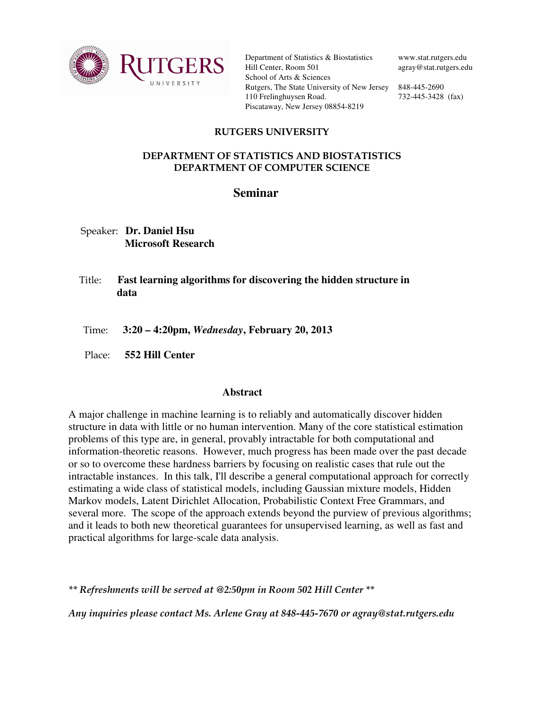

Department of Statistics & Biostatistics Hill Center, Room 501 School of Arts & Sciences Rutgers, The State University of New Jersey 848-445-2690 110 Frelinghuysen Road. Piscataway, New Jersey 08854-8219

www.stat.rutgers.edu agray@stat.rutgers.edu

732-445-3428 (fax)

## RUTGERS UNIVERSITY

## DEPARTMENT OF STATISTICS AND BIOSTATISTICS DEPARTMENT OF COMPUTER SCIENCE

## **Seminar**

 Speaker: **Dr. Daniel Hsu Microsoft Research** 

- Title: **Fast learning algorithms for discovering the hidden structure in data**
- Time: **3:20 4:20pm,** *Wednesday***, February 20, 2013**
- Place: **552 Hill Center**

## **Abstract**

A major challenge in machine learning is to reliably and automatically discover hidden structure in data with little or no human intervention. Many of the core statistical estimation problems of this type are, in general, provably intractable for both computational and information-theoretic reasons. However, much progress has been made over the past decade or so to overcome these hardness barriers by focusing on realistic cases that rule out the intractable instances. In this talk, I'll describe a general computational approach for correctly estimating a wide class of statistical models, including Gaussian mixture models, Hidden Markov models, Latent Dirichlet Allocation, Probabilistic Context Free Grammars, and several more. The scope of the approach extends beyond the purview of previous algorithms; and it leads to both new theoretical guarantees for unsupervised learning, as well as fast and practical algorithms for large-scale data analysis.

\*\* Refreshments will be served at @2:50pm in Room 502 Hill Center \*\*

Any inquiries please contact Ms. Arlene Gray at 848-445-7670 or agray@stat.rutgers.edu